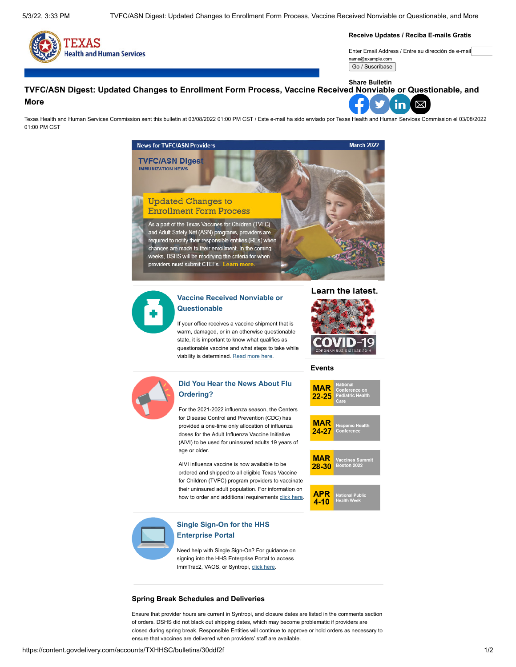

**Receive Updates / Reciba E-mails Gratis**

Enter Email Address / Entre su dirección de e-mail name@example.com

Go / Suscríbase

#### **Share BulletinTVFC/ASN Digest: Updated Changes to Enrollment Form Process, Vaccine Received Nonviable or Questionable, and More** ⊠ <u>in</u>

Texas Health and Human Services Commission sent this bulletin at 03/08/2022 01:00 PM CST / Este e-mail ha sido enviado por Texas Health and Human Services Commission el 03/08/2022 01:00 PM CST





## **[Vaccine Received Nonviable or](http://www.dshs.texas.gov/immunize/Immunization-News/TVFC-ASN-Digest/Vaccine-Shipment-Received-Nonviable-or-Questionable/) Questionable**

If your office receives a vaccine shipment that is warm, damaged, or in an otherwise questionable state, it is important to know what qualifies as questionable vaccine and what steps to take while viability is determined. [Read more here](http://www.dshs.texas.gov/immunize/Immunization-News/TVFC-ASN-Digest/Vaccine-Shipment-Received-Nonviable-or-Questionable/).



#### **Events**

**MAR**  $22 - 25$ 

**MAR**  $24 - 27$ 

**MAR**  $28 - 30$ 

**APR** 4-10



# **[Did You Hear the News About Flu](http://www.dshs.texas.gov/immunize/Immunization-News/TVFC-ASN-Digest/Did-You-Hear-the-News-About-Flu-Ordering-/) Ordering?**

For the 2021-2022 influenza season, the Centers for Disease Control and Prevention (CDC) has provided a one-time only allocation of influenza doses for the Adult Influenza Vaccine Initiative (AIVI) to be used for uninsured adults 19 years of age or older.

AIVI influenza vaccine is now available to be ordered and shipped to all eligible Texas Vaccine for Children (TVFC) program providers to vaccinate their uninsured adult population. For information on how to order and additional requirements [click here](http://www.dshs.texas.gov/immunize/Immunization-News/TVFC-ASN-Digest/Did-You-Hear-the-News-About-Flu-Ordering-/).



## **[Single Sign-On for the HHS](http://www.dshs.texas.gov/immunize/Immunization-News/TVFC-ASN-Digest/Single-Sign-On-for-the-HHS-Enterprise-Portal/) Enterprise Portal**

Need help with Single Sign-On? For guidance on signing into the HHS Enterprise Portal to access ImmTrac2, VAOS, or Syntropi, [click here](http://www.dshs.texas.gov/immunize/Immunization-News/TVFC-ASN-Digest/Single-Sign-On-for-the-HHS-Enterprise-Portal/).

#### **Spring Break Schedules and Deliveries**

Ensure that provider hours are current in Syntropi, and closure dates are listed in the comments section of orders. DSHS did not black out shipping dates, which may become problematic if providers are closed during spring break. Responsible Entities will continue to approve or hold orders as necessary to ensure that vaccines are delivered when providers' staff are available.